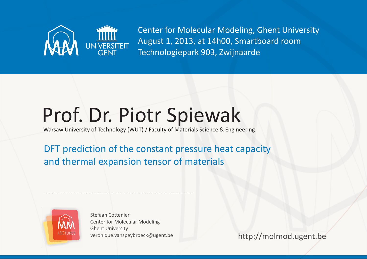

Center for Molecular Modeling, Ghent University August 1, 2013, at 14h00, Smartboard room Technologiepark 903, Zwijnaarde

## Prof. Dr. Piotr Spiewak

Warsaw University of Technology (WUT) / Faculty of Materials Science & Engineering

DFT prediction of the constant pressure heat capacity and thermal expansion tensor of materials



Stefaan Cottenier Center for Molecular Modeling Ghent University veronique.vanspeybroeck@ugent.be

http://molmod.ugent.be